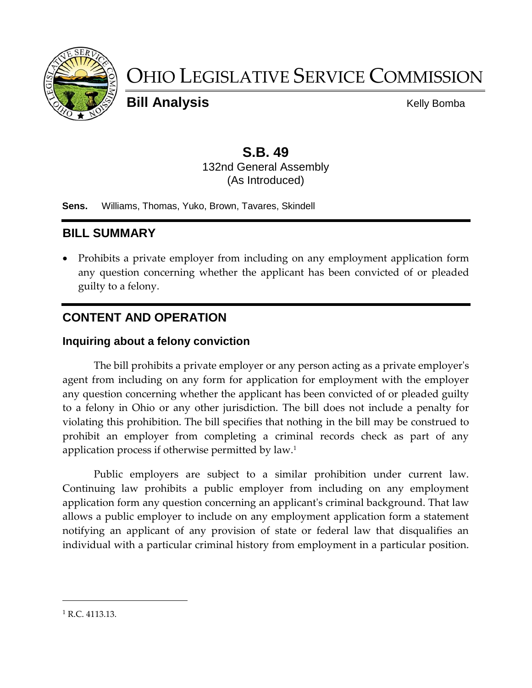

# OHIO LEGISLATIVE SERVICE COMMISSION

**Bill Analysis** Kelly Bomba

## **S.B. 49**

132nd General Assembly (As Introduced)

**Sens.** Williams, Thomas, Yuko, Brown, Tavares, Skindell

## **BILL SUMMARY**

 Prohibits a private employer from including on any employment application form any question concerning whether the applicant has been convicted of or pleaded guilty to a felony.

### **CONTENT AND OPERATION**

#### **Inquiring about a felony conviction**

The bill prohibits a private employer or any person acting as a private employer's agent from including on any form for application for employment with the employer any question concerning whether the applicant has been convicted of or pleaded guilty to a felony in Ohio or any other jurisdiction. The bill does not include a penalty for violating this prohibition. The bill specifies that nothing in the bill may be construed to prohibit an employer from completing a criminal records check as part of any application process if otherwise permitted by law. 1

Public employers are subject to a similar prohibition under current law. Continuing law prohibits a public employer from including on any employment application form any question concerning an applicant's criminal background. That law allows a public employer to include on any employment application form a statement notifying an applicant of any provision of state or federal law that disqualifies an individual with a particular criminal history from employment in a particular position.

 $1 R.C. 4113.13.$ 

 $\overline{a}$